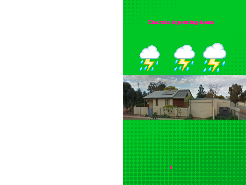